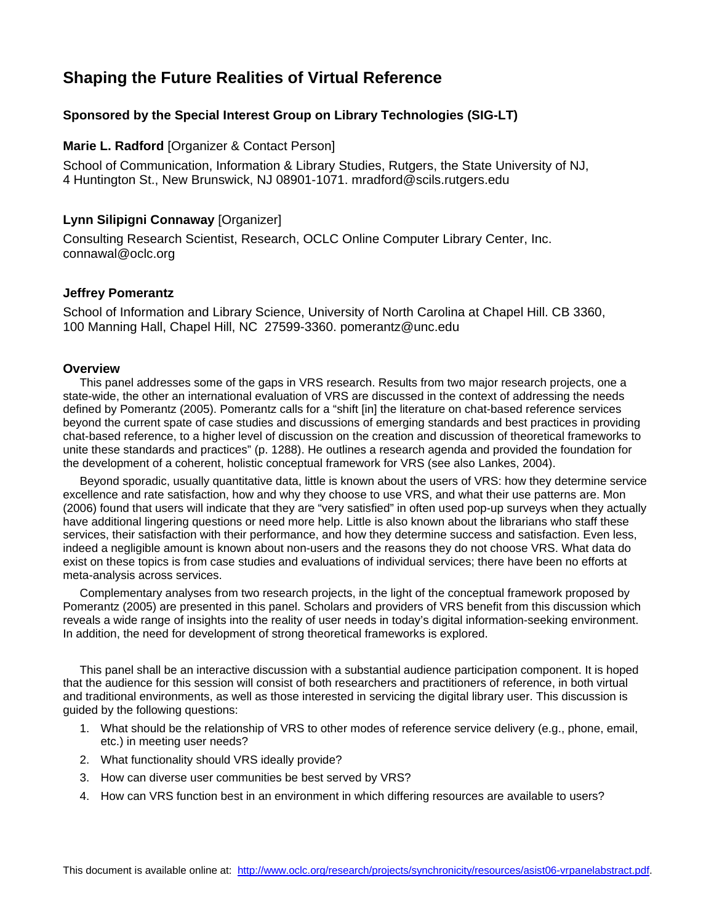# **Shaping the Future Realities of Virtual Reference**

# **Sponsored by the Special Interest Group on Library Technologies (SIG-LT)**

## **Marie L. Radford** [Organizer & Contact Person]

School of Communication, Information & Library Studies, Rutgers, the State University of NJ, 4 Huntington St., New Brunswick, NJ 08901-1071. mradford@scils.rutgers.edu

# **Lynn Silipigni Connaway** [Organizer]

Consulting Research Scientist, Research, OCLC Online Computer Library Center, Inc. connawal@oclc.org

## **Jeffrey Pomerantz**

School of Information and Library Science, University of North Carolina at Chapel Hill. CB 3360, 100 Manning Hall, Chapel Hill, NC 27599-3360. pomerantz@unc.edu

#### **Overview**

This panel addresses some of the gaps in VRS research. Results from two major research projects, one a state-wide, the other an international evaluation of VRS are discussed in the context of addressing the needs defined by Pomerantz (2005). Pomerantz calls for a "shift [in] the literature on chat-based reference services beyond the current spate of case studies and discussions of emerging standards and best practices in providing chat-based reference, to a higher level of discussion on the creation and discussion of theoretical frameworks to unite these standards and practices" (p. 1288). He outlines a research agenda and provided the foundation for the development of a coherent, holistic conceptual framework for VRS (see also Lankes, 2004).

Beyond sporadic, usually quantitative data, little is known about the users of VRS: how they determine service excellence and rate satisfaction, how and why they choose to use VRS, and what their use patterns are. Mon (2006) found that users will indicate that they are "very satisfied" in often used pop-up surveys when they actually have additional lingering questions or need more help. Little is also known about the librarians who staff these services, their satisfaction with their performance, and how they determine success and satisfaction. Even less, indeed a negligible amount is known about non-users and the reasons they do not choose VRS. What data do exist on these topics is from case studies and evaluations of individual services; there have been no efforts at meta-analysis across services.

Complementary analyses from two research projects, in the light of the conceptual framework proposed by Pomerantz (2005) are presented in this panel. Scholars and providers of VRS benefit from this discussion which reveals a wide range of insights into the reality of user needs in today's digital information-seeking environment. In addition, the need for development of strong theoretical frameworks is explored.

This panel shall be an interactive discussion with a substantial audience participation component. It is hoped that the audience for this session will consist of both researchers and practitioners of reference, in both virtual and traditional environments, as well as those interested in servicing the digital library user. This discussion is guided by the following questions:

- 1. What should be the relationship of VRS to other modes of reference service delivery (e.g., phone, email, etc.) in meeting user needs?
- 2. What functionality should VRS ideally provide?
- 3. How can diverse user communities be best served by VRS?
- 4. How can VRS function best in an environment in which differing resources are available to users?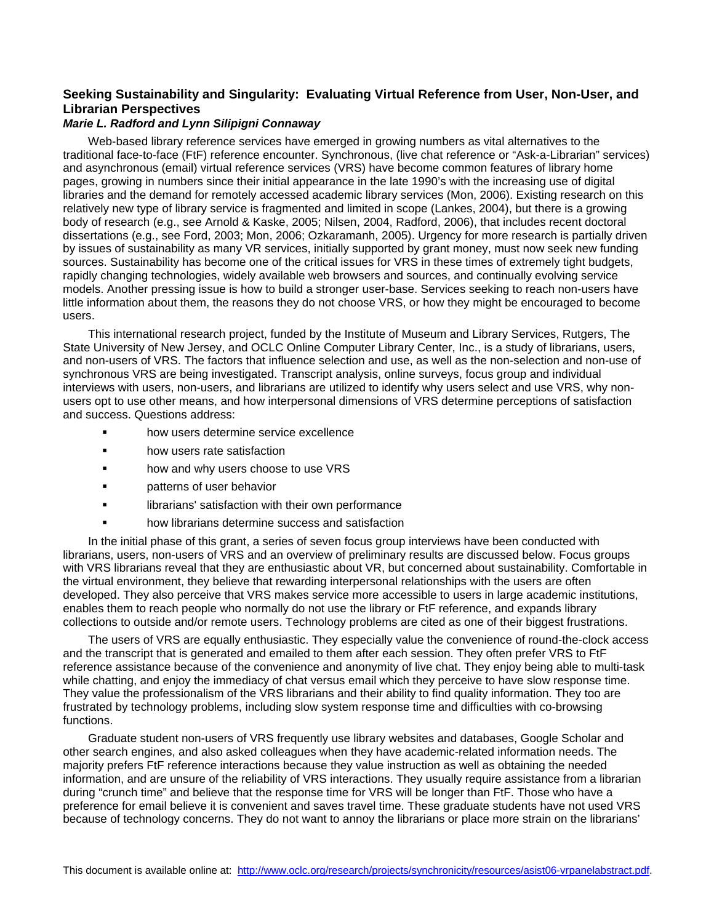# **Seeking Sustainability and Singularity: Evaluating Virtual Reference from User, Non-User, and Librarian Perspectives**

### *Marie L. Radford and Lynn Silipigni Connaway*

Web-based library reference services have emerged in growing numbers as vital alternatives to the traditional face-to-face (FtF) reference encounter. Synchronous, (live chat reference or "Ask-a-Librarian" services) and asynchronous (email) virtual reference services (VRS) have become common features of library home pages, growing in numbers since their initial appearance in the late 1990's with the increasing use of digital libraries and the demand for remotely accessed academic library services (Mon, 2006). Existing research on this relatively new type of library service is fragmented and limited in scope (Lankes, 2004), but there is a growing body of research (e.g., see Arnold & Kaske, 2005; Nilsen, 2004, Radford, 2006), that includes recent doctoral dissertations (e.g., see Ford, 2003; Mon, 2006; Ozkaramanh, 2005). Urgency for more research is partially driven by issues of sustainability as many VR services, initially supported by grant money, must now seek new funding sources. Sustainability has become one of the critical issues for VRS in these times of extremely tight budgets, rapidly changing technologies, widely available web browsers and sources, and continually evolving service models. Another pressing issue is how to build a stronger user-base. Services seeking to reach non-users have little information about them, the reasons they do not choose VRS, or how they might be encouraged to become users.

This international research project, funded by the Institute of Museum and Library Services, Rutgers, The State University of New Jersey, and OCLC Online Computer Library Center, Inc., is a study of librarians, users, and non-users of VRS. The factors that influence selection and use, as well as the non-selection and non-use of synchronous VRS are being investigated. Transcript analysis, online surveys, focus group and individual interviews with users, non-users, and librarians are utilized to identify why users select and use VRS, why nonusers opt to use other means, and how interpersonal dimensions of VRS determine perceptions of satisfaction and success. Questions address:

- how users determine service excellence
- **Example 3** how users rate satisfaction
- **•** how and why users choose to use VRS
- **Example 1 patterns of user behavior**
- librarians' satisfaction with their own performance
- how librarians determine success and satisfaction

In the initial phase of this grant, a series of seven focus group interviews have been conducted with librarians, users, non-users of VRS and an overview of preliminary results are discussed below. Focus groups with VRS librarians reveal that they are enthusiastic about VR, but concerned about sustainability. Comfortable in the virtual environment, they believe that rewarding interpersonal relationships with the users are often developed. They also perceive that VRS makes service more accessible to users in large academic institutions, enables them to reach people who normally do not use the library or FtF reference, and expands library collections to outside and/or remote users. Technology problems are cited as one of their biggest frustrations.

The users of VRS are equally enthusiastic. They especially value the convenience of round-the-clock access and the transcript that is generated and emailed to them after each session. They often prefer VRS to FtF reference assistance because of the convenience and anonymity of live chat. They enjoy being able to multi-task while chatting, and enjoy the immediacy of chat versus email which they perceive to have slow response time. They value the professionalism of the VRS librarians and their ability to find quality information. They too are frustrated by technology problems, including slow system response time and difficulties with co-browsing functions.

Graduate student non-users of VRS frequently use library websites and databases, Google Scholar and other search engines, and also asked colleagues when they have academic-related information needs. The majority prefers FtF reference interactions because they value instruction as well as obtaining the needed information, and are unsure of the reliability of VRS interactions. They usually require assistance from a librarian during "crunch time" and believe that the response time for VRS will be longer than FtF. Those who have a preference for email believe it is convenient and saves travel time. These graduate students have not used VRS because of technology concerns. They do not want to annoy the librarians or place more strain on the librarians'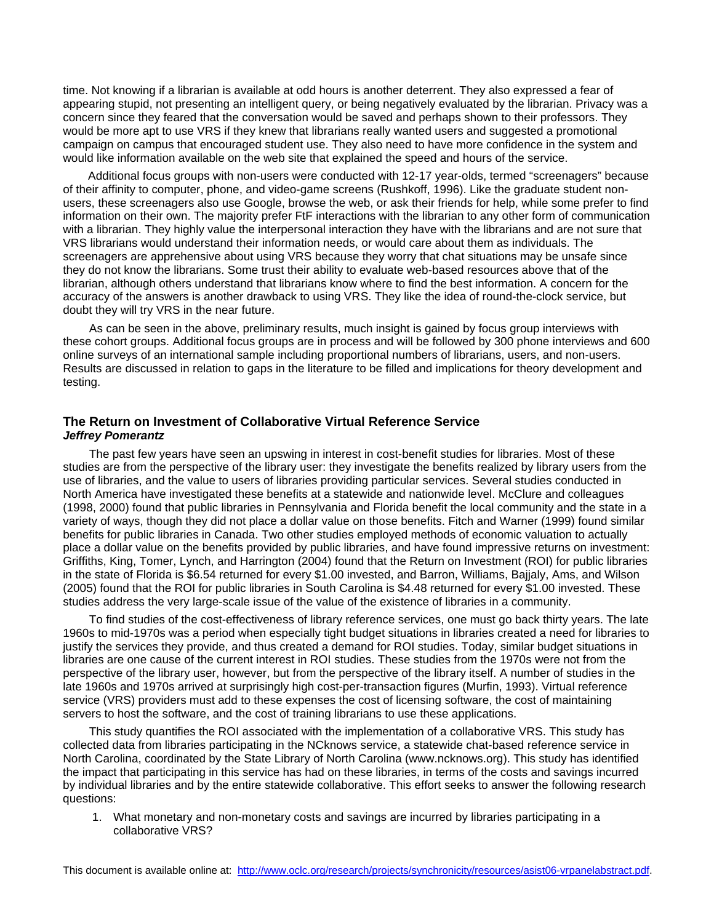time. Not knowing if a librarian is available at odd hours is another deterrent. They also expressed a fear of appearing stupid, not presenting an intelligent query, or being negatively evaluated by the librarian. Privacy was a concern since they feared that the conversation would be saved and perhaps shown to their professors. They would be more apt to use VRS if they knew that librarians really wanted users and suggested a promotional campaign on campus that encouraged student use. They also need to have more confidence in the system and would like information available on the web site that explained the speed and hours of the service.

Additional focus groups with non-users were conducted with 12-17 year-olds, termed "screenagers" because of their affinity to computer, phone, and video-game screens (Rushkoff, 1996). Like the graduate student nonusers, these screenagers also use Google, browse the web, or ask their friends for help, while some prefer to find information on their own. The majority prefer FtF interactions with the librarian to any other form of communication with a librarian. They highly value the interpersonal interaction they have with the librarians and are not sure that VRS librarians would understand their information needs, or would care about them as individuals. The screenagers are apprehensive about using VRS because they worry that chat situations may be unsafe since they do not know the librarians. Some trust their ability to evaluate web-based resources above that of the librarian, although others understand that librarians know where to find the best information. A concern for the accuracy of the answers is another drawback to using VRS. They like the idea of round-the-clock service, but doubt they will try VRS in the near future.

As can be seen in the above, preliminary results, much insight is gained by focus group interviews with these cohort groups. Additional focus groups are in process and will be followed by 300 phone interviews and 600 online surveys of an international sample including proportional numbers of librarians, users, and non-users. Results are discussed in relation to gaps in the literature to be filled and implications for theory development and testing.

## **The Return on Investment of Collaborative Virtual Reference Service**  *Jeffrey Pomerantz*

The past few years have seen an upswing in interest in cost-benefit studies for libraries. Most of these studies are from the perspective of the library user: they investigate the benefits realized by library users from the use of libraries, and the value to users of libraries providing particular services. Several studies conducted in North America have investigated these benefits at a statewide and nationwide level. McClure and colleagues (1998, 2000) found that public libraries in Pennsylvania and Florida benefit the local community and the state in a variety of ways, though they did not place a dollar value on those benefits. Fitch and Warner (1999) found similar benefits for public libraries in Canada. Two other studies employed methods of economic valuation to actually place a dollar value on the benefits provided by public libraries, and have found impressive returns on investment: Griffiths, King, Tomer, Lynch, and Harrington (2004) found that the Return on Investment (ROI) for public libraries in the state of Florida is \$6.54 returned for every \$1.00 invested, and Barron, Williams, Bajjaly, Ams, and Wilson (2005) found that the ROI for public libraries in South Carolina is \$4.48 returned for every \$1.00 invested. These studies address the very large-scale issue of the value of the existence of libraries in a community.

To find studies of the cost-effectiveness of library reference services, one must go back thirty years. The late 1960s to mid-1970s was a period when especially tight budget situations in libraries created a need for libraries to justify the services they provide, and thus created a demand for ROI studies. Today, similar budget situations in libraries are one cause of the current interest in ROI studies. These studies from the 1970s were not from the perspective of the library user, however, but from the perspective of the library itself. A number of studies in the late 1960s and 1970s arrived at surprisingly high cost-per-transaction figures (Murfin, 1993). Virtual reference service (VRS) providers must add to these expenses the cost of licensing software, the cost of maintaining servers to host the software, and the cost of training librarians to use these applications.

This study quantifies the ROI associated with the implementation of a collaborative VRS. This study has collected data from libraries participating in the NCknows service, a statewide chat-based reference service in North Carolina, coordinated by the State Library of North Carolina (www.ncknows.org). This study has identified the impact that participating in this service has had on these libraries, in terms of the costs and savings incurred by individual libraries and by the entire statewide collaborative. This effort seeks to answer the following research questions:

1. What monetary and non-monetary costs and savings are incurred by libraries participating in a collaborative VRS?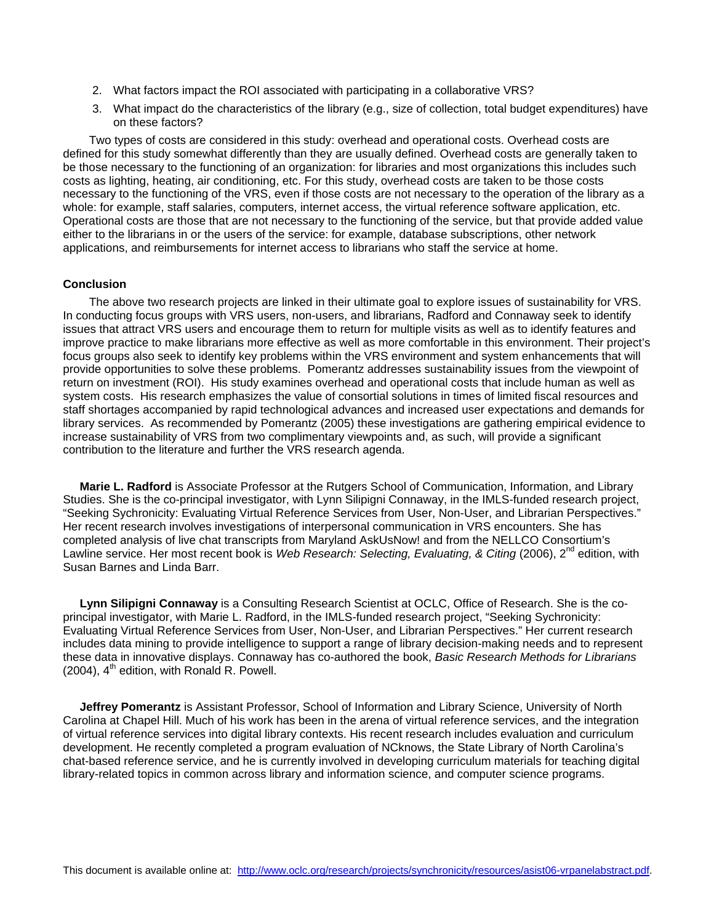- 2. What factors impact the ROI associated with participating in a collaborative VRS?
- 3. What impact do the characteristics of the library (e.g., size of collection, total budget expenditures) have on these factors?

Two types of costs are considered in this study: overhead and operational costs. Overhead costs are defined for this study somewhat differently than they are usually defined. Overhead costs are generally taken to be those necessary to the functioning of an organization: for libraries and most organizations this includes such costs as lighting, heating, air conditioning, etc. For this study, overhead costs are taken to be those costs necessary to the functioning of the VRS, even if those costs are not necessary to the operation of the library as a whole: for example, staff salaries, computers, internet access, the virtual reference software application, etc. Operational costs are those that are not necessary to the functioning of the service, but that provide added value either to the librarians in or the users of the service: for example, database subscriptions, other network applications, and reimbursements for internet access to librarians who staff the service at home.

#### **Conclusion**

The above two research projects are linked in their ultimate goal to explore issues of sustainability for VRS. In conducting focus groups with VRS users, non-users, and librarians, Radford and Connaway seek to identify issues that attract VRS users and encourage them to return for multiple visits as well as to identify features and improve practice to make librarians more effective as well as more comfortable in this environment. Their project's focus groups also seek to identify key problems within the VRS environment and system enhancements that will provide opportunities to solve these problems. Pomerantz addresses sustainability issues from the viewpoint of return on investment (ROI). His study examines overhead and operational costs that include human as well as system costs. His research emphasizes the value of consortial solutions in times of limited fiscal resources and staff shortages accompanied by rapid technological advances and increased user expectations and demands for library services. As recommended by Pomerantz (2005) these investigations are gathering empirical evidence to increase sustainability of VRS from two complimentary viewpoints and, as such, will provide a significant contribution to the literature and further the VRS research agenda.

**Marie L. Radford** is Associate Professor at the Rutgers School of Communication, Information, and Library Studies. She is the co-principal investigator, with Lynn Silipigni Connaway, in the IMLS-funded research project, "Seeking Sychronicity: Evaluating Virtual Reference Services from User, Non-User, and Librarian Perspectives." Her recent research involves investigations of interpersonal communication in VRS encounters. She has completed analysis of live chat transcripts from Maryland AskUsNow! and from the NELLCO Consortium's Lawline service. Her most recent book is *Web Research: Selecting, Evaluating, & Citing* (2006), 2<sup>nd</sup> edition, with Susan Barnes and Linda Barr.

**Lynn Silipigni Connaway** is a Consulting Research Scientist at OCLC, Office of Research. She is the coprincipal investigator, with Marie L. Radford, in the IMLS-funded research project, "Seeking Sychronicity: Evaluating Virtual Reference Services from User, Non-User, and Librarian Perspectives." Her current research includes data mining to provide intelligence to support a range of library decision-making needs and to represent these data in innovative displays. Connaway has co-authored the book, *Basic Research Methods for Librarians* (2004),  $4<sup>th</sup>$  edition, with Ronald R. Powell.

**Jeffrey Pomerantz** is Assistant Professor, School of Information and Library Science, University of North Carolina at Chapel Hill. Much of his work has been in the arena of virtual reference services, and the integration of virtual reference services into digital library contexts. His recent research includes evaluation and curriculum development. He recently completed a program evaluation of NCknows, the State Library of North Carolina's chat-based reference service, and he is currently involved in developing curriculum materials for teaching digital library-related topics in common across library and information science, and computer science programs.